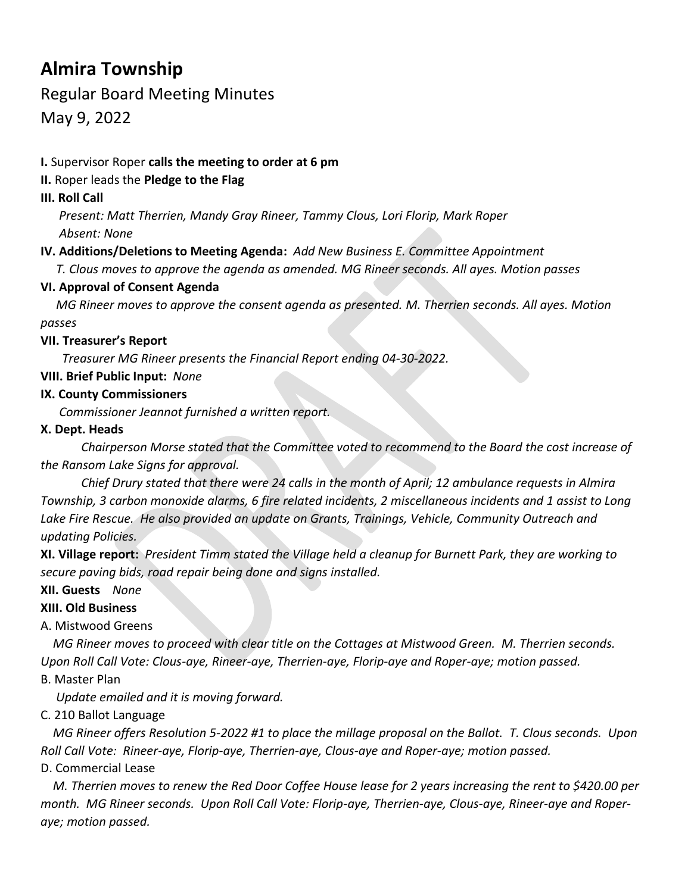# **Almira Township**

# Regular Board Meeting Minutes

May 9, 2022

#### **I.** Supervisor Roper **calls the meeting to order at 6 pm**

#### **II.** Roper leads the **Pledge to the Flag**

#### **III. Roll Call**

 *Present: Matt Therrien, Mandy Gray Rineer, Tammy Clous, Lori Florip, Mark Roper Absent: None*

## **IV. Additions/Deletions to Meeting Agenda:** *Add New Business E. Committee Appointment*

*T. Clous moves to approve the agenda as amended. MG Rineer seconds. All ayes. Motion passes*

#### **VI. Approval of Consent Agenda**

 *MG Rineer moves to approve the consent agenda as presented. M. Therrien seconds. All ayes. Motion passes*

#### **VII. Treasurer's Report**

*Treasurer MG Rineer presents the Financial Report ending 04-30-2022.*

#### **VIII. Brief Public Input:** *None*

#### **IX. County Commissioners**

*Commissioner Jeannot furnished a written report.*

#### **X. Dept. Heads**

 *Chairperson Morse stated that the Committee voted to recommend to the Board the cost increase of the Ransom Lake Signs for approval.*

*Chief Drury stated that there were 24 calls in the month of April; 12 ambulance requests in Almira Township, 3 carbon monoxide alarms, 6 fire related incidents, 2 miscellaneous incidents and 1 assist to Long*  Lake Fire Rescue. He also provided an update on Grants, Trainings, Vehicle, Community Outreach and *updating Policies.*

**XI. Village report:** *President Timm stated the Village held a cleanup for Burnett Park, they are working to secure paving bids, road repair being done and signs installed.*

**XII. Guests** *None*

## **XIII. Old Business**

## A. Mistwood Greens

 *MG Rineer moves to proceed with clear title on the Cottages at Mistwood Green. M. Therrien seconds. Upon Roll Call Vote: Clous-aye, Rineer-aye, Therrien-aye, Florip-aye and Roper-aye; motion passed.*

## B. Master Plan

 *Update emailed and it is moving forward.* 

## C. 210 Ballot Language

 *MG Rineer offers Resolution 5-2022 #1 to place the millage proposal on the Ballot. T. Clous seconds. Upon Roll Call Vote: Rineer-aye, Florip-aye, Therrien-aye, Clous-aye and Roper-aye; motion passed.*

## D. Commercial Lease

 *M. Therrien moves to renew the Red Door Coffee House lease for 2 years increasing the rent to \$420.00 per month. MG Rineer seconds. Upon Roll Call Vote: Florip-aye, Therrien-aye, Clous-aye, Rineer-aye and Roperaye; motion passed.*